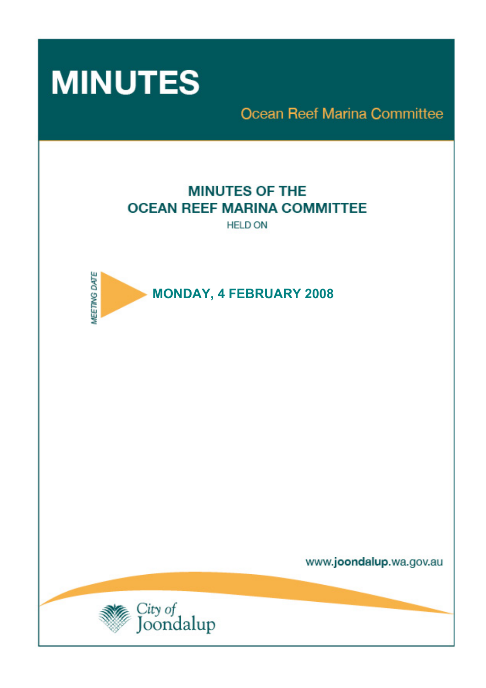

**Ocean Reef Marina Committee** 

# **MINUTES OF THE OCEAN REEF MARINA COMMITTEE**

**HELD ON** 



www.joondalup.wa.gov.au

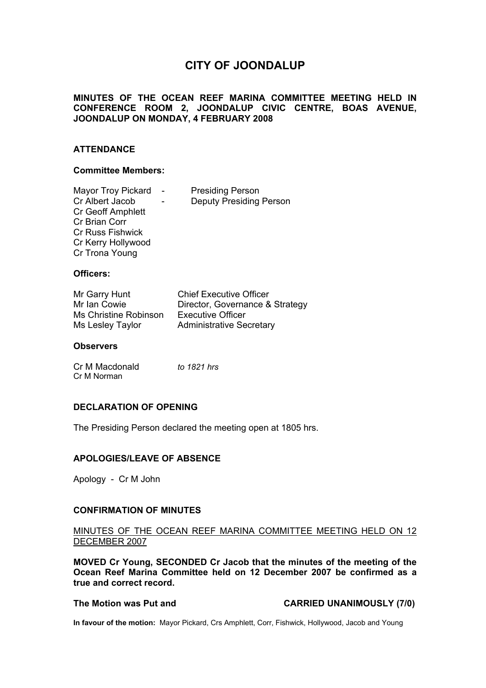# **CITY OF JOONDALUP**

### **MINUTES OF THE OCEAN REEF MARINA COMMITTEE MEETING HELD IN CONFERENCE ROOM 2, JOONDALUP CIVIC CENTRE, BOAS AVENUE, JOONDALUP ON MONDAY, 4 FEBRUARY 2008**

### **ATTENDANCE**

### **Committee Members:**

| <b>Mayor Troy Pickard</b> | <b>Presiding Person</b>        |
|---------------------------|--------------------------------|
| Cr Albert Jacob           | <b>Deputy Presiding Person</b> |
| <b>Cr Geoff Amphlett</b>  |                                |
| Cr Brian Corr             |                                |
| <b>Cr Russ Fishwick</b>   |                                |
| Cr Kerry Hollywood        |                                |
| Cr Trona Young            |                                |

### **Officers:**

| Mr Garry Hunt         | <b>Chief Executive Officer</b>  |
|-----------------------|---------------------------------|
| Mr Ian Cowie          | Director, Governance & Strategy |
| Ms Christine Robinson | <b>Executive Officer</b>        |
| Ms Lesley Taylor      | <b>Administrative Secretary</b> |

### **Observers**

| Cr M Macdonald | to 1821 hrs |
|----------------|-------------|
| Cr M Norman    |             |

### **DECLARATION OF OPENING**

The Presiding Person declared the meeting open at 1805 hrs.

### **APOLOGIES/LEAVE OF ABSENCE**

Apology - Cr M John

### **CONFIRMATION OF MINUTES**

### MINUTES OF THE OCEAN REEF MARINA COMMITTEE MEETING HELD ON 12 DECEMBER 2007

**MOVED Cr Young, SECONDED Cr Jacob that the minutes of the meeting of the Ocean Reef Marina Committee held on 12 December 2007 be confirmed as a true and correct record.** 

### **The Motion was Put and CARRIED UNANIMOUSLY (7/0)**

**In favour of the motion:** Mayor Pickard, Crs Amphlett, Corr, Fishwick, Hollywood, Jacob and Young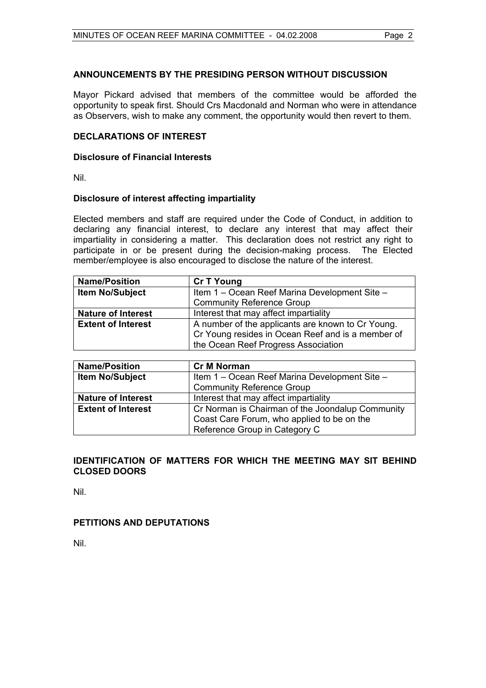### **ANNOUNCEMENTS BY THE PRESIDING PERSON WITHOUT DISCUSSION**

Mayor Pickard advised that members of the committee would be afforded the opportunity to speak first. Should Crs Macdonald and Norman who were in attendance as Observers, wish to make any comment, the opportunity would then revert to them.

### **DECLARATIONS OF INTEREST**

### **Disclosure of Financial Interests**

Nil.

### **Disclosure of interest affecting impartiality**

Elected members and staff are required under the Code of Conduct, in addition to declaring any financial interest, to declare any interest that may affect their impartiality in considering a matter. This declaration does not restrict any right to participate in or be present during the decision-making process. The Elected member/employee is also encouraged to disclose the nature of the interest.

| <b>Name/Position</b>      | <b>Cr T Young</b>                                 |
|---------------------------|---------------------------------------------------|
| <b>Item No/Subject</b>    | Item 1 – Ocean Reef Marina Development Site –     |
|                           | <b>Community Reference Group</b>                  |
| <b>Nature of Interest</b> | Interest that may affect impartiality             |
| <b>Extent of Interest</b> | A number of the applicants are known to Cr Young. |
|                           | Cr Young resides in Ocean Reef and is a member of |
|                           | the Ocean Reef Progress Association               |

| <b>Name/Position</b>      | <b>Cr M Norman</b>                               |
|---------------------------|--------------------------------------------------|
| <b>Item No/Subject</b>    | Item 1 - Ocean Reef Marina Development Site -    |
|                           | <b>Community Reference Group</b>                 |
| <b>Nature of Interest</b> | Interest that may affect impartiality            |
| <b>Extent of Interest</b> | Cr Norman is Chairman of the Joondalup Community |
|                           | Coast Care Forum, who applied to be on the       |
|                           | Reference Group in Category C                    |

### **IDENTIFICATION OF MATTERS FOR WHICH THE MEETING MAY SIT BEHIND CLOSED DOORS**

Nil.

### **PETITIONS AND DEPUTATIONS**

Nil.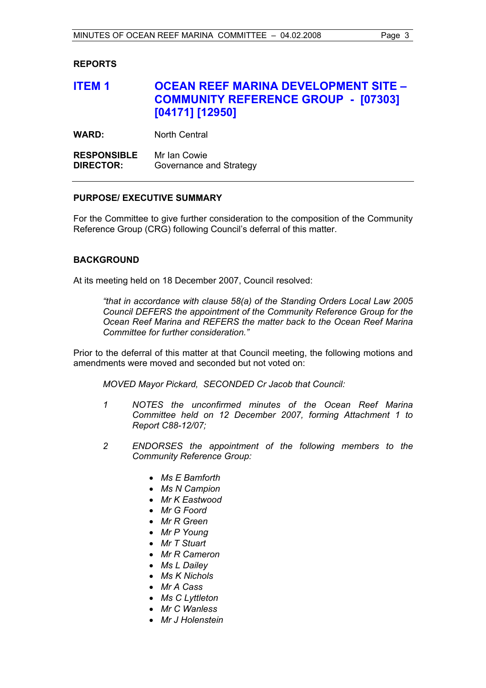### **REPORTS**

# **ITEM 1 OCEAN REEF MARINA DEVELOPMENT SITE – COMMUNITY REFERENCE GROUP - [07303] [04171] [12950]**

**WARD:** North Central

**RESPONSIBLE** Mr Ian Cowie **DIRECTOR:** Governance and Strategy

### **PURPOSE/ EXECUTIVE SUMMARY**

For the Committee to give further consideration to the composition of the Community Reference Group (CRG) following Council's deferral of this matter.

### **BACKGROUND**

At its meeting held on 18 December 2007, Council resolved:

*"that in accordance with clause 58(a) of the Standing Orders Local Law 2005 Council DEFERS the appointment of the Community Reference Group for the Ocean Reef Marina and REFERS the matter back to the Ocean Reef Marina Committee for further consideration."* 

Prior to the deferral of this matter at that Council meeting, the following motions and amendments were moved and seconded but not voted on:

*MOVED Mayor Pickard, SECONDED Cr Jacob that Council:* 

- *1 NOTES the unconfirmed minutes of the Ocean Reef Marina Committee held on 12 December 2007, forming Attachment 1 to Report C88-12/07;*
- *2 ENDORSES the appointment of the following members to the Community Reference Group:* 
	- *Ms E Bamforth*
	- *Ms N Campion*
	- *Mr K Eastwood*
	- *Mr G Foord*
	- *Mr R Green*
	- *Mr P Young*
	- *Mr T Stuart*
	- *Mr R Cameron*
	- *Ms L Dailey*
	- *Ms K Nichols*
	- *Mr A Cass*
	- *Ms C Lyttleton*
	- *Mr C Wanless*
	- *Mr J Holenstein*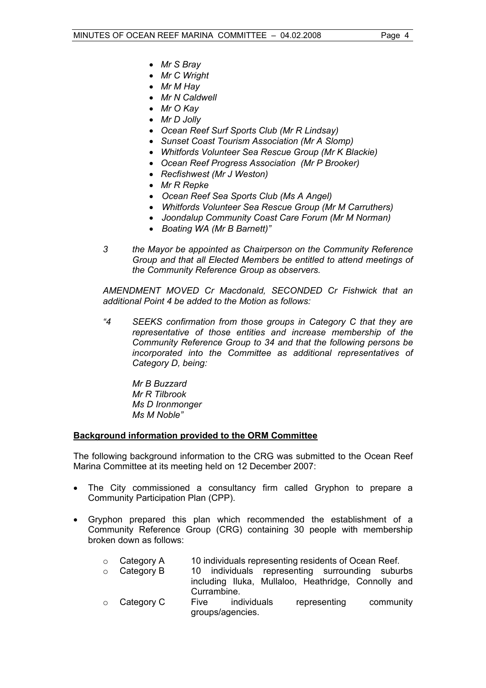- *Mr S Bray*
- *Mr C Wright*
- *Mr M Hay*
- *Mr N Caldwell*
- *Mr O Kay*
- *Mr D Jolly*
- *Ocean Reef Surf Sports Club (Mr R Lindsay)*
- *Sunset Coast Tourism Association (Mr A Slomp)*
- *Whitfords Volunteer Sea Rescue Group (Mr K Blackie)*
- *Ocean Reef Progress Association (Mr P Brooker)*
- *Recfishwest (Mr J Weston)*
- *Mr R Repke*
- *Ocean Reef Sea Sports Club (Ms A Angel)*
- *Whitfords Volunteer Sea Rescue Group (Mr M Carruthers)*
- *Joondalup Community Coast Care Forum (Mr M Norman)*
- *Boating WA (Mr B Barnett)"*
- *3 the Mayor be appointed as Chairperson on the Community Reference Group and that all Elected Members be entitled to attend meetings of the Community Reference Group as observers.*

*AMENDMENT MOVED Cr Macdonald, SECONDED Cr Fishwick that an additional Point 4 be added to the Motion as follows:* 

*"4 SEEKS confirmation from those groups in Category C that they are representative of those entities and increase membership of the Community Reference Group to 34 and that the following persons be incorporated into the Committee as additional representatives of Category D, being:* 

 *Mr B Buzzard Mr R Tilbrook Ms D Ironmonger Ms M Noble"* 

### **Background information provided to the ORM Committee**

The following background information to the CRG was submitted to the Ocean Reef Marina Committee at its meeting held on 12 December 2007:

- The City commissioned a consultancy firm called Gryphon to prepare a Community Participation Plan (CPP).
- Gryphon prepared this plan which recommended the establishment of a Community Reference Group (CRG) containing 30 people with membership broken down as follows:
	- o Category A 10 individuals representing residents of Ocean Reef.
	- $\circ$  Category B 10 individuals representing surrounding suburbs including Iluka, Mullaloo, Heathridge, Connolly and Currambine.
	- o Category C Five individuals representing community groups/agencies.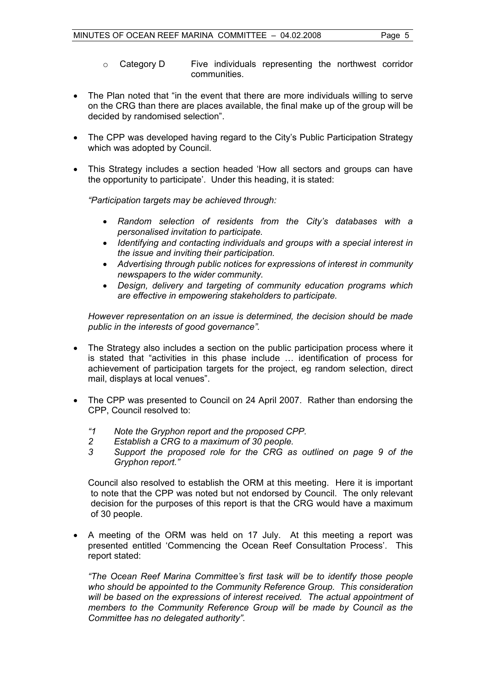communities.

- The Plan noted that "in the event that there are more individuals willing to serve on the CRG than there are places available, the final make up of the group will be decided by randomised selection".
- The CPP was developed having regard to the City's Public Participation Strategy which was adopted by Council.
- This Strategy includes a section headed 'How all sectors and groups can have the opportunity to participate'. Under this heading, it is stated:

*"Participation targets may be achieved through:* 

- *Random selection of residents from the City's databases with a personalised invitation to participate.*
- *Identifying and contacting individuals and groups with a special interest in the issue and inviting their participation.*
- *Advertising through public notices for expressions of interest in community newspapers to the wider community.*
- *Design, delivery and targeting of community education programs which are effective in empowering stakeholders to participate.*

*However representation on an issue is determined, the decision should be made public in the interests of good governance".* 

- The Strategy also includes a section on the public participation process where it is stated that "activities in this phase include … identification of process for achievement of participation targets for the project, eg random selection, direct mail, displays at local venues".
- The CPP was presented to Council on 24 April 2007. Rather than endorsing the CPP, Council resolved to:
	- *"1 Note the Gryphon report and the proposed CPP.*
	- *2 Establish a CRG to a maximum of 30 people.*
	- *3 Support the proposed role for the CRG as outlined on page 9 of the Gryphon report."*

Council also resolved to establish the ORM at this meeting. Here it is important to note that the CPP was noted but not endorsed by Council. The only relevant decision for the purposes of this report is that the CRG would have a maximum of 30 people.

• A meeting of the ORM was held on 17 July. At this meeting a report was presented entitled 'Commencing the Ocean Reef Consultation Process'. This report stated:

*"The Ocean Reef Marina Committee's first task will be to identify those people who should be appointed to the Community Reference Group. This consideration will be based on the expressions of interest received. The actual appointment of members to the Community Reference Group will be made by Council as the Committee has no delegated authority".*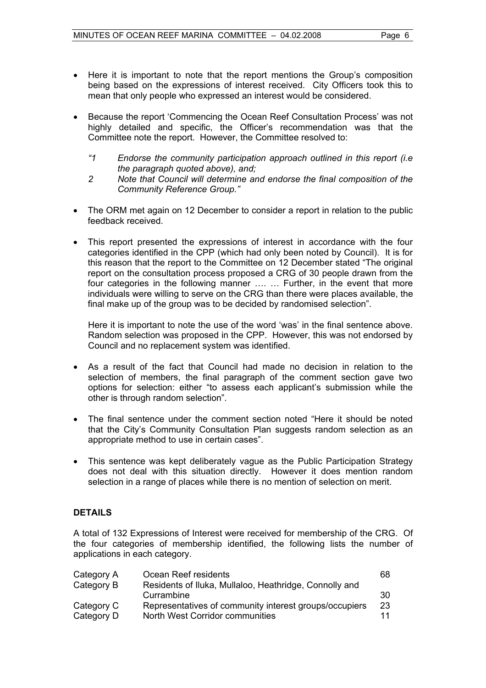- Here it is important to note that the report mentions the Group's composition being based on the expressions of interest received. City Officers took this to mean that only people who expressed an interest would be considered.
- Because the report 'Commencing the Ocean Reef Consultation Process' was not highly detailed and specific, the Officer's recommendation was that the Committee note the report. However, the Committee resolved to:
	- *"1 Endorse the community participation approach outlined in this report (i.e the paragraph quoted above), and;*
	- *2 Note that Council will determine and endorse the final composition of the Community Reference Group."*
- The ORM met again on 12 December to consider a report in relation to the public feedback received.
- This report presented the expressions of interest in accordance with the four categories identified in the CPP (which had only been noted by Council). It is for this reason that the report to the Committee on 12 December stated "The original report on the consultation process proposed a CRG of 30 people drawn from the four categories in the following manner .... ... Further, in the event that more individuals were willing to serve on the CRG than there were places available, the final make up of the group was to be decided by randomised selection".

Here it is important to note the use of the word 'was' in the final sentence above. Random selection was proposed in the CPP. However, this was not endorsed by Council and no replacement system was identified.

- As a result of the fact that Council had made no decision in relation to the selection of members, the final paragraph of the comment section gave two options for selection: either "to assess each applicant's submission while the other is through random selection".
- The final sentence under the comment section noted "Here it should be noted that the City's Community Consultation Plan suggests random selection as an appropriate method to use in certain cases".
- This sentence was kept deliberately vague as the Public Participation Strategy does not deal with this situation directly. However it does mention random selection in a range of places while there is no mention of selection on merit.

### **DETAILS**

A total of 132 Expressions of Interest were received for membership of the CRG. Of the four categories of membership identified, the following lists the number of applications in each category.

| Category A | Ocean Reef residents                                   | 68 |
|------------|--------------------------------------------------------|----|
| Category B | Residents of Iluka, Mullaloo, Heathridge, Connolly and |    |
|            | Currambine                                             | 30 |
| Category C | Representatives of community interest groups/occupiers | 23 |
| Category D | North West Corridor communities                        | 11 |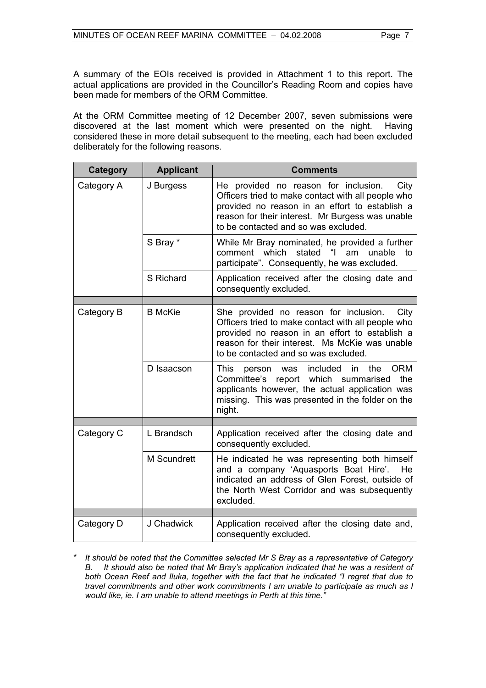A summary of the EOIs received is provided in Attachment 1 to this report. The actual applications are provided in the Councillor's Reading Room and copies have been made for members of the ORM Committee.

At the ORM Committee meeting of 12 December 2007, seven submissions were discovered at the last moment which were presented on the night. Having considered these in more detail subsequent to the meeting, each had been excluded deliberately for the following reasons.

| <b>Category</b> | <b>Applicant</b>   | <b>Comments</b>                                                                                                                                                                                                                                  |
|-----------------|--------------------|--------------------------------------------------------------------------------------------------------------------------------------------------------------------------------------------------------------------------------------------------|
| Category A      | J Burgess          | He provided no reason for inclusion.<br>City<br>Officers tried to make contact with all people who<br>provided no reason in an effort to establish a<br>reason for their interest. Mr Burgess was unable<br>to be contacted and so was excluded. |
|                 | S Bray *           | While Mr Bray nominated, he provided a further<br>stated<br>"I am<br>comment which<br>unable<br>to<br>participate". Consequently, he was excluded.                                                                                               |
|                 | S Richard          | Application received after the closing date and<br>consequently excluded.                                                                                                                                                                        |
|                 |                    |                                                                                                                                                                                                                                                  |
| Category B      | <b>B</b> McKie     | She provided no reason for inclusion.<br>City<br>Officers tried to make contact with all people who<br>provided no reason in an effort to establish a<br>reason for their interest. Ms McKie was unable<br>to be contacted and so was excluded.  |
|                 | D Isaacson         | <b>ORM</b><br><b>This</b><br>included<br>the<br>in.<br>person<br>was<br>Committee's<br>report which summarised<br>the<br>applicants however, the actual application was<br>missing. This was presented in the folder on the<br>night.            |
|                 |                    |                                                                                                                                                                                                                                                  |
| Category C      | L Brandsch         | Application received after the closing date and<br>consequently excluded.                                                                                                                                                                        |
|                 | <b>M</b> Scundrett | He indicated he was representing both himself<br>and a company 'Aquasports Boat Hire'. He<br>indicated an address of Glen Forest, outside of<br>the North West Corridor and was subsequently<br>excluded.                                        |
|                 |                    |                                                                                                                                                                                                                                                  |
| Category D      | J Chadwick         | Application received after the closing date and,<br>consequently excluded.                                                                                                                                                                       |

\* *It should be noted that the Committee selected Mr S Bray as a representative of Category B. It should also be noted that Mr Bray's application indicated that he was a resident of both Ocean Reef and Iluka, together with the fact that he indicated "I regret that due to travel commitments and other work commitments I am unable to participate as much as I would like, ie. I am unable to attend meetings in Perth at this time."*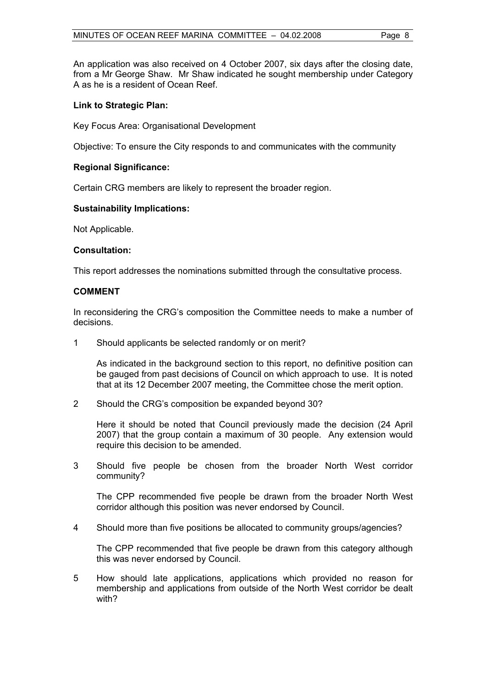An application was also received on 4 October 2007, six days after the closing date, from a Mr George Shaw. Mr Shaw indicated he sought membership under Category A as he is a resident of Ocean Reef.

### **Link to Strategic Plan:**

Key Focus Area: Organisational Development

Objective: To ensure the City responds to and communicates with the community

### **Regional Significance:**

Certain CRG members are likely to represent the broader region.

### **Sustainability Implications:**

Not Applicable.

### **Consultation:**

This report addresses the nominations submitted through the consultative process.

### **COMMENT**

In reconsidering the CRG's composition the Committee needs to make a number of decisions.

1 Should applicants be selected randomly or on merit?

As indicated in the background section to this report, no definitive position can be gauged from past decisions of Council on which approach to use. It is noted that at its 12 December 2007 meeting, the Committee chose the merit option.

2 Should the CRG's composition be expanded beyond 30?

Here it should be noted that Council previously made the decision (24 April 2007) that the group contain a maximum of 30 people. Any extension would require this decision to be amended.

3 Should five people be chosen from the broader North West corridor community?

The CPP recommended five people be drawn from the broader North West corridor although this position was never endorsed by Council.

4 Should more than five positions be allocated to community groups/agencies?

The CPP recommended that five people be drawn from this category although this was never endorsed by Council.

5 How should late applications, applications which provided no reason for membership and applications from outside of the North West corridor be dealt with?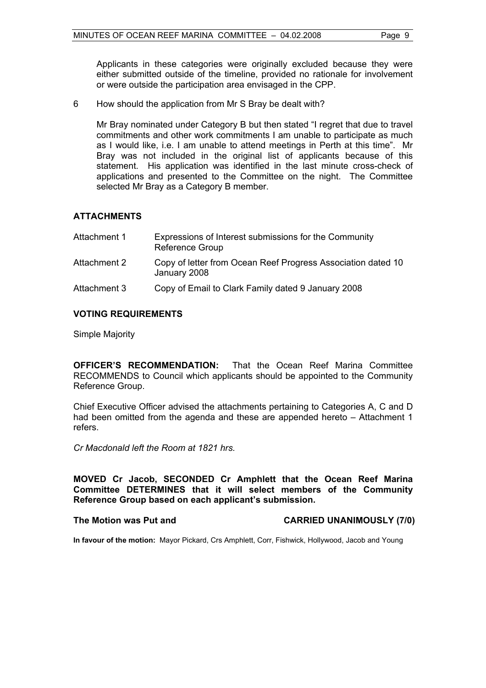Applicants in these categories were originally excluded because they were either submitted outside of the timeline, provided no rationale for involvement or were outside the participation area envisaged in the CPP.

6 How should the application from Mr S Bray be dealt with?

Mr Bray nominated under Category B but then stated "I regret that due to travel commitments and other work commitments I am unable to participate as much as I would like, i.e. I am unable to attend meetings in Perth at this time". Mr Bray was not included in the original list of applicants because of this statement. His application was identified in the last minute cross-check of applications and presented to the Committee on the night. The Committee selected Mr Bray as a Category B member.

### **ATTACHMENTS**

| Attachment 1 | Expressions of Interest submissions for the Community<br><b>Reference Group</b> |
|--------------|---------------------------------------------------------------------------------|
| Attachment 2 | Copy of letter from Ocean Reef Progress Association dated 10<br>January 2008    |
| Attachment 3 | Copy of Email to Clark Family dated 9 January 2008                              |

### **VOTING REQUIREMENTS**

Simple Majority

**OFFICER'S RECOMMENDATION:** That the Ocean Reef Marina Committee RECOMMENDS to Council which applicants should be appointed to the Community Reference Group.

Chief Executive Officer advised the attachments pertaining to Categories A, C and D had been omitted from the agenda and these are appended hereto – Attachment 1 refers.

*Cr Macdonald left the Room at 1821 hrs.* 

**MOVED Cr Jacob, SECONDED Cr Amphlett that the Ocean Reef Marina Committee DETERMINES that it will select members of the Community Reference Group based on each applicant's submission.** 

### **The Motion was Put and CARRIED UNANIMOUSLY (7/0)**

**In favour of the motion:** Mayor Pickard, Crs Amphlett, Corr, Fishwick, Hollywood, Jacob and Young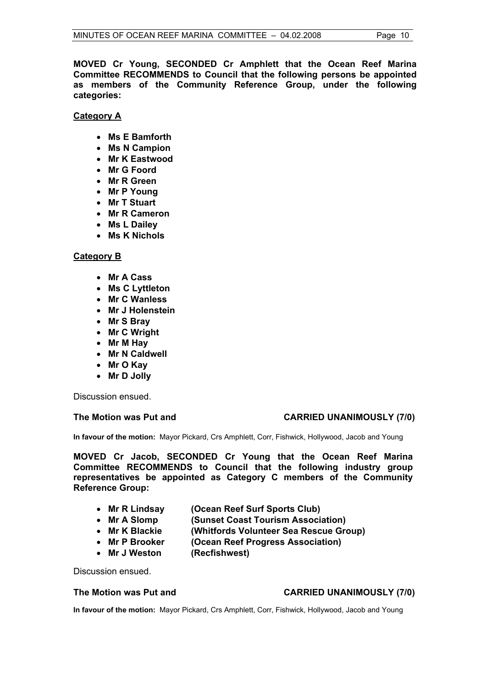**MOVED Cr Young, SECONDED Cr Amphlett that the Ocean Reef Marina Committee RECOMMENDS to Council that the following persons be appointed as members of the Community Reference Group, under the following categories:** 

**Category A**

- **Ms E Bamforth**
- **Ms N Campion**
- **Mr K Eastwood**
- **Mr G Foord**
- **Mr R Green**
- **Mr P Young**
- **Mr T Stuart**
- **Mr R Cameron**
- **Ms L Dailey**
- **Ms K Nichols**

### **Category B**

- **Mr A Cass**
- **Ms C Lyttleton**
- **Mr C Wanless**
- **Mr J Holenstein**
- **Mr S Bray**
- **Mr C Wright**
- **Mr M Hay**
- **Mr N Caldwell**
- **Mr O Kay**
- **Mr D Jolly**

Discussion ensued.

### **The Motion was Put and CARRIED UNANIMOUSLY (7/0)**

**In favour of the motion:** Mayor Pickard, Crs Amphlett, Corr, Fishwick, Hollywood, Jacob and Young

**MOVED Cr Jacob, SECONDED Cr Young that the Ocean Reef Marina Committee RECOMMENDS to Council that the following industry group representatives be appointed as Category C members of the Community Reference Group:** 

- **Mr R Lindsay (Ocean Reef Surf Sports Club)** 
	-
- **Mr A Slomp (Sunset Coast Tourism Association)**
- **Mr K Blackie (Whitfords Volunteer Sea Rescue Group)**
- **Mr P Brooker (Ocean Reef Progress Association)**
- Mr J Weston (Recfishwest)

Discussion ensued.

### **The Motion was Put and CARRIED UNANIMOUSLY (7/0)**

**In favour of the motion:** Mayor Pickard, Crs Amphlett, Corr, Fishwick, Hollywood, Jacob and Young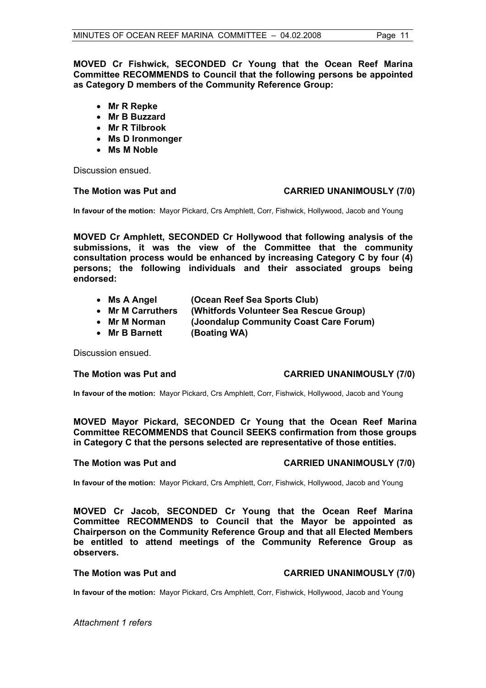**MOVED Cr Fishwick, SECONDED Cr Young that the Ocean Reef Marina Committee RECOMMENDS to Council that the following persons be appointed as Category D members of the Community Reference Group:** 

- **Mr R Repke**
- **Mr B Buzzard**
- **Mr R Tilbrook**
- **Ms D Ironmonger**
- **Ms M Noble**

Discussion ensued.

### **The Motion was Put and CARRIED UNANIMOUSLY (7/0)**

**In favour of the motion:** Mayor Pickard, Crs Amphlett, Corr, Fishwick, Hollywood, Jacob and Young

**MOVED Cr Amphlett, SECONDED Cr Hollywood that following analysis of the submissions, it was the view of the Committee that the community consultation process would be enhanced by increasing Category C by four (4) persons; the following individuals and their associated groups being endorsed:** 

- **Ms A Angel (Ocean Reef Sea Sports Club)**
- **Mr M Carruthers (Whitfords Volunteer Sea Rescue Group)**
- **Mr M Norman (Joondalup Community Coast Care Forum)**
- **Mr B Barnett (Boating WA)**

Discussion ensued.

### **The Motion was Put and CARRIED UNANIMOUSLY (7/0)**

**In favour of the motion:** Mayor Pickard, Crs Amphlett, Corr, Fishwick, Hollywood, Jacob and Young

**MOVED Mayor Pickard, SECONDED Cr Young that the Ocean Reef Marina Committee RECOMMENDS that Council SEEKS confirmation from those groups in Category C that the persons selected are representative of those entities.** 

### **The Motion was Put and CARRIED UNANIMOUSLY (7/0)**

**In favour of the motion:** Mayor Pickard, Crs Amphlett, Corr, Fishwick, Hollywood, Jacob and Young

**MOVED Cr Jacob, SECONDED Cr Young that the Ocean Reef Marina Committee RECOMMENDS to Council that the Mayor be appointed as Chairperson on the Community Reference Group and that all Elected Members be entitled to attend meetings of the Community Reference Group as observers.** 

### **The Motion was Put and CARRIED UNANIMOUSLY (7/0)**

**In favour of the motion:** Mayor Pickard, Crs Amphlett, Corr, Fishwick, Hollywood, Jacob and Young

*Attachment 1 refers*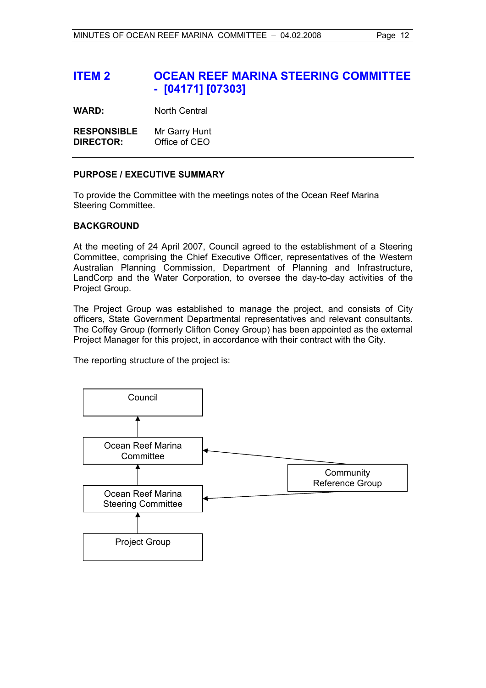## **ITEM 2 OCEAN REEF MARINA STEERING COMMITTEE - [04171] [07303]**

**WARD:** North Central

**RESPONSIBLE** Mr Garry Hunt **DIRECTOR:** Office of CEO

### **PURPOSE / EXECUTIVE SUMMARY**

To provide the Committee with the meetings notes of the Ocean Reef Marina Steering Committee.

### **BACKGROUND**

At the meeting of 24 April 2007, Council agreed to the establishment of a Steering Committee, comprising the Chief Executive Officer, representatives of the Western Australian Planning Commission, Department of Planning and Infrastructure, LandCorp and the Water Corporation, to oversee the day-to-day activities of the Project Group.

The Project Group was established to manage the project, and consists of City officers, State Government Departmental representatives and relevant consultants. The Coffey Group (formerly Clifton Coney Group) has been appointed as the external Project Manager for this project, in accordance with their contract with the City.

The reporting structure of the project is:

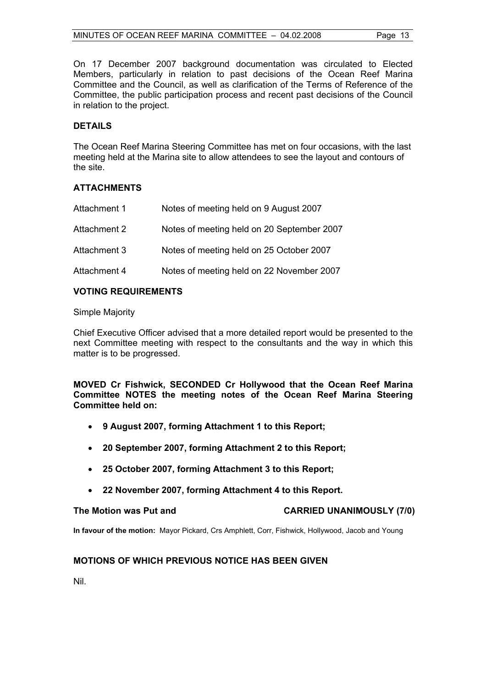On 17 December 2007 background documentation was circulated to Elected Members, particularly in relation to past decisions of the Ocean Reef Marina Committee and the Council, as well as clarification of the Terms of Reference of the Committee, the public participation process and recent past decisions of the Council in relation to the project.

### **DETAILS**

The Ocean Reef Marina Steering Committee has met on four occasions, with the last meeting held at the Marina site to allow attendees to see the layout and contours of the site.

### **ATTACHMENTS**

| Attachment 1 | Notes of meeting held on 9 August 2007     |
|--------------|--------------------------------------------|
| Attachment 2 | Notes of meeting held on 20 September 2007 |
| Attachment 3 | Notes of meeting held on 25 October 2007   |
| Attachment 4 | Notes of meeting held on 22 November 2007  |

### **VOTING REQUIREMENTS**

Simple Majority

Chief Executive Officer advised that a more detailed report would be presented to the next Committee meeting with respect to the consultants and the way in which this matter is to be progressed.

**MOVED Cr Fishwick, SECONDED Cr Hollywood that the Ocean Reef Marina Committee NOTES the meeting notes of the Ocean Reef Marina Steering Committee held on:** 

- **9 August 2007, forming Attachment 1 to this Report;**
- **20 September 2007, forming Attachment 2 to this Report;**
- **25 October 2007, forming Attachment 3 to this Report;**
- **22 November 2007, forming Attachment 4 to this Report.**

**The Motion was Put and CARRIED UNANIMOUSLY (7/0)** 

**In favour of the motion:** Mayor Pickard, Crs Amphlett, Corr, Fishwick, Hollywood, Jacob and Young

### **MOTIONS OF WHICH PREVIOUS NOTICE HAS BEEN GIVEN**

Nil.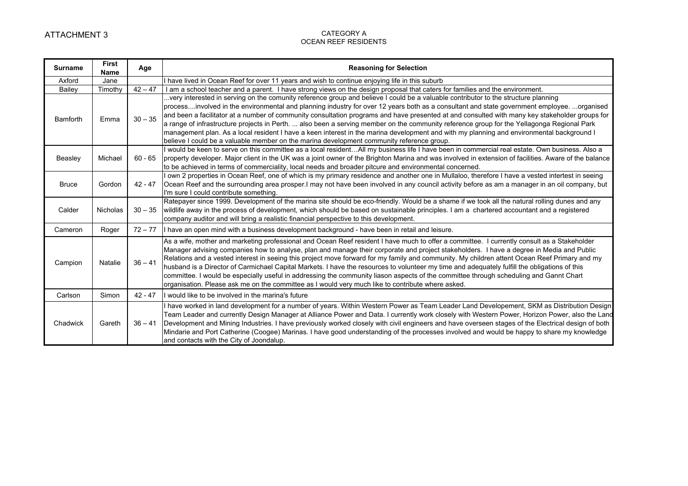| <b>Surname</b>  | <b>First</b><br>Name | Age       | <b>Reasoning for Selection</b>                                                                                                                                                                                                                                                                                                                                                                                                                                                                                                                                                                                                                                                                                                                                                                                                           |
|-----------------|----------------------|-----------|------------------------------------------------------------------------------------------------------------------------------------------------------------------------------------------------------------------------------------------------------------------------------------------------------------------------------------------------------------------------------------------------------------------------------------------------------------------------------------------------------------------------------------------------------------------------------------------------------------------------------------------------------------------------------------------------------------------------------------------------------------------------------------------------------------------------------------------|
| Axford          | Jane                 |           | I have lived in Ocean Reef for over 11 years and wish to continue enjoying life in this suburb                                                                                                                                                                                                                                                                                                                                                                                                                                                                                                                                                                                                                                                                                                                                           |
| <b>Bailey</b>   | Timothy              | $42 - 47$ | I am a school teacher and a parent. I have strong views on the design proposal that caters for families and the environment.                                                                                                                                                                                                                                                                                                                                                                                                                                                                                                                                                                                                                                                                                                             |
| <b>Bamforth</b> | Emma                 | $30 - 35$ | very interested in serving on the comunity reference group and believe I could be a valuable contributor to the structure planning<br>processinvolved in the environmental and planning industry for over 12 years both as a consultant and state government employee. organised<br>and been a facilitator at a number of community consultation programs and have presented at and consulted with many key stakeholder groups for<br>a range of infrastructure projects in Perth.  also been a serving member on the community reference group for the Yellagonga Regional Park<br>management plan. As a local resident I have a keen interest in the marina development and with my planning and environmental background I<br>believe I could be a valuable member on the marina development community reference group.               |
| Beasley         | Michael              | $60 - 65$ | would be keen to serve on this committee as a local residentAll my business life I have been in commercial real estate. Own business. Also a<br>property developer. Major client in the UK was a joint owner of the Brighton Marina and was involved in extension of facilities. Aware of the balance<br>to be achieved in terms of commerciality, local needs and broader pitcure and environmental concerned.                                                                                                                                                                                                                                                                                                                                                                                                                          |
| <b>Bruce</b>    | Gordon               | $42 - 47$ | own 2 properties in Ocean Reef, one of which is my primary residence and another one in Mullaloo, therefore I have a vested intertest in seeing<br>Ocean Reef and the surrounding area prosper. I may not have been involved in any council activity before as am a manager in an oil company, but<br>I'm sure I could contribute something.                                                                                                                                                                                                                                                                                                                                                                                                                                                                                             |
| Calder          | Nicholas             | $30 - 35$ | Ratepayer since 1999. Development of the marina site should be eco-friendly. Would be a shame if we took all the natural rolling dunes and any<br>wildlife away in the process of development, which should be based on sustainable principles. I am a chartered accountant and a registered<br>company auditor and will bring a realistic financial perspective to this development.                                                                                                                                                                                                                                                                                                                                                                                                                                                    |
| Cameron         | Roger                | $72 - 77$ | I have an open mind with a business development background - have been in retail and leisure.                                                                                                                                                                                                                                                                                                                                                                                                                                                                                                                                                                                                                                                                                                                                            |
| Campion         | Natalie              | $36 - 41$ | As a wife, mother and marketing professional and Ocean Reef resident I have much to offer a committee. I currently consult as a Stakeholder<br>Manager advising companies how to analyse, plan and manage their corporate and project stakeholders. I have a degree in Media and Public<br>Relations and a vested interest in seeing this project move forward for my family and community. My children attent Ocean Reef Primary and my<br>husband is a Director of Carmichael Capital Markets. I have the resources to volunteer my time and adequately fulfill the obligations of this<br>committee. I would be especially useful in addressing the community liason aspects of the committee through scheduling and Gannt Chart<br>organisation. Please ask me on the committee as I would very much like to contribute where asked. |
| Carlson         | Simon                | $42 - 47$ | I would like to be involved in the marina's future                                                                                                                                                                                                                                                                                                                                                                                                                                                                                                                                                                                                                                                                                                                                                                                       |
| Chadwick        | Gareth               | $36 - 41$ | have worked in land development for a number of years. Within Western Power as Team Leader Land Developement, SKM as Distribution Design<br>Team Leader and currently Design Manager at Alliance Power and Data. I currently work closely with Western Power, Horizon Power, also the Land<br>Development and Mining Industries. I have previously worked closely with civil engineers and have overseen stages of the Electrical design of both<br>Mindarie and Port Catherine (Coogee) Marinas. I have good understanding of the processes involved and would be happy to share my knowledge<br>and contacts with the City of Joondalup.                                                                                                                                                                                               |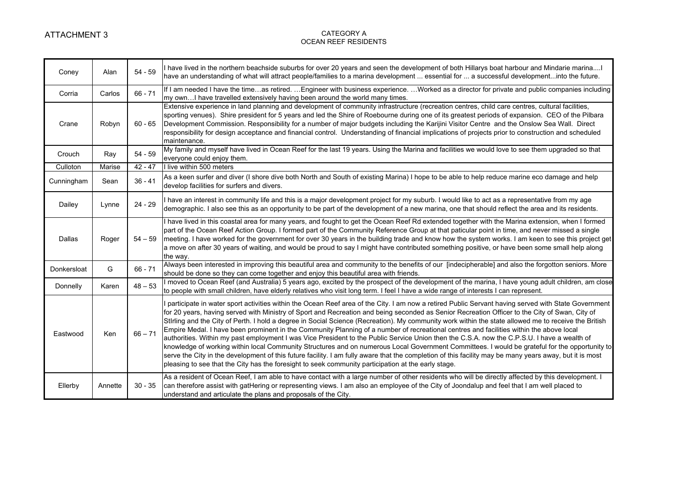| Coney       | Alan    | $54 - 59$ | I have lived in the northern beachside suburbs for over 20 years and seen the development of both Hillarys boat harbour and Mindarie marinaI<br>have an understanding of what will attract people/families to a marina development  essential for  a successful developmentinto the future.                                                                                                                                                                                                                                                                                                                                                                                                                                                                                                                                                                                                                                                                                                                                                                                                                                                                                 |
|-------------|---------|-----------|-----------------------------------------------------------------------------------------------------------------------------------------------------------------------------------------------------------------------------------------------------------------------------------------------------------------------------------------------------------------------------------------------------------------------------------------------------------------------------------------------------------------------------------------------------------------------------------------------------------------------------------------------------------------------------------------------------------------------------------------------------------------------------------------------------------------------------------------------------------------------------------------------------------------------------------------------------------------------------------------------------------------------------------------------------------------------------------------------------------------------------------------------------------------------------|
| Corria      | Carlos  | $66 - 71$ | If I am needed I have the timeas retired. Engineer with business experience. Worked as a director for private and public companies including<br>my own I have travelled extensively having been around the world many times.                                                                                                                                                                                                                                                                                                                                                                                                                                                                                                                                                                                                                                                                                                                                                                                                                                                                                                                                                |
| Crane       | Robyn   | $60 - 65$ | Extensive experience in land planning and development of community infrastructure (recreation centres, child care centres, cultural facilities,<br>sporting venues). Shire president for 5 years and led the Shire of Roebourne during one of its greatest periods of expansion. CEO of the Pilbara<br>Development Commission. Responsibility for a number of major budgets including the Karijini Visitor Centre and the Onslow Sea Wall. Direct<br>responsibility for design acceptance and financial control. Understanding of financial implications of projects prior to construction and scheduled<br>maintenance.                                                                                                                                                                                                                                                                                                                                                                                                                                                                                                                                                    |
| Crouch      | Ray     | $54 - 59$ | My family and myself have lived in Ocean Reef for the last 19 years. Using the Marina and facilities we would love to see them upgraded so that<br>everyone could enjoy them.                                                                                                                                                                                                                                                                                                                                                                                                                                                                                                                                                                                                                                                                                                                                                                                                                                                                                                                                                                                               |
| Culloton    | Marise  | $42 - 47$ | I live within 500 meters                                                                                                                                                                                                                                                                                                                                                                                                                                                                                                                                                                                                                                                                                                                                                                                                                                                                                                                                                                                                                                                                                                                                                    |
| Cunningham  | Sean    | $36 - 41$ | As a keen surfer and diver (I shore dive both North and South of existing Marina) I hope to be able to help reduce marine eco damage and help<br>develop facilities for surfers and divers.                                                                                                                                                                                                                                                                                                                                                                                                                                                                                                                                                                                                                                                                                                                                                                                                                                                                                                                                                                                 |
| Dailey      | Lynne   | $24 - 29$ | I have an interest in community life and this is a major development project for my suburb. I would like to act as a representative from my age<br>demographic. I also see this as an opportunity to be part of the development of a new marina, one that should reflect the area and its residents.                                                                                                                                                                                                                                                                                                                                                                                                                                                                                                                                                                                                                                                                                                                                                                                                                                                                        |
| Dallas      | Roger   | $54 - 59$ | I have lived in this coastal area for many years, and fought to get the Ocean Reef Rd extended together with the Marina extension, when I formed<br>part of the Ocean Reef Action Group. I formed part of the Community Reference Group at that paticular point in time, and never missed a single<br>meeting. I have worked for the government for over 30 years in the building trade and know how the system works. I am keen to see this project get<br>a move on after 30 years of waiting, and would be proud to say I might have contributed something positive, or have been some small help along<br>the way.                                                                                                                                                                                                                                                                                                                                                                                                                                                                                                                                                      |
| Donkersloat | G       | $66 - 71$ | Always been interested in improving this beautiful area and community to the benefits of our [indecipherable] and also the forgotton seniors. More<br>should be done so they can come together and enjoy this beautiful area with friends.                                                                                                                                                                                                                                                                                                                                                                                                                                                                                                                                                                                                                                                                                                                                                                                                                                                                                                                                  |
| Donnelly    | Karen   | $48 - 53$ | I moved to Ocean Reef (and Australia) 5 years ago, excited by the prospect of the development of the marina, I have young adult children, am close<br>to people with small children, have elderly relatives who visit long term. I feel I have a wide range of interests I can represent.                                                                                                                                                                                                                                                                                                                                                                                                                                                                                                                                                                                                                                                                                                                                                                                                                                                                                   |
| Eastwood    | Ken     | $66 - 71$ | participate in water sport activities within the Ocean Reef area of the City. I am now a retired Public Servant having served with State Government<br>for 20 years, having served with Ministry of Sport and Recreation and being seconded as Senior Recreation Officer to the City of Swan, City of<br>Stirling and the City of Perth. I hold a degree in Social Science (Recreation). My community work within the state allowed me to receive the British<br>Empire Medal. I have been prominent in the Community Planning of a number of recreational centres and facilities within the above local<br>authorities. Within my past employment I was Vice President to the Public Service Union then the C.S.A. now the C.P.S.U. I have a wealth of<br>knowledge of working within local Community Structures and on numerous Local Government Committees. I would be grateful for the opportunity to<br>serve the City in the development of this future facility. I am fully aware that the completion of this facility may be many years away, but it is most<br>pleasing to see that the City has the foresight to seek community participation at the early stage. |
| Ellerby     | Annette | $30 - 35$ | As a resident of Ocean Reef, I am able to have contact with a large number of other residents who will be directly affected by this development. I<br>can therefore assist with gatHering or representing views. I am also an employee of the City of Joondalup and feel that I am well placed to<br>understand and articulate the plans and proposals of the City.                                                                                                                                                                                                                                                                                                                                                                                                                                                                                                                                                                                                                                                                                                                                                                                                         |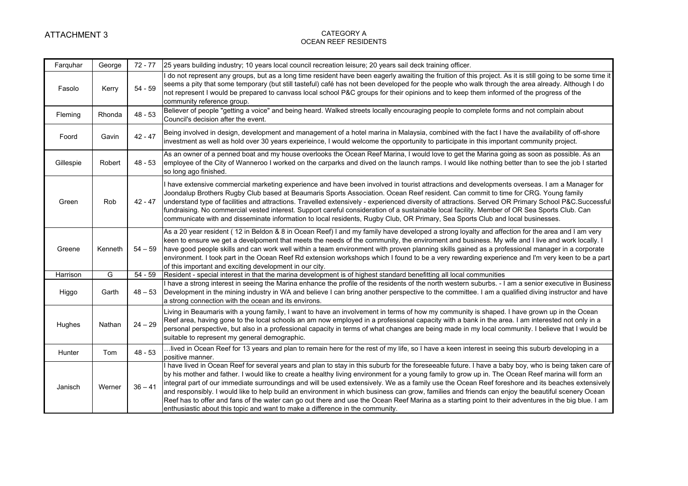| Farquhar  | George         | $72 - 77$ | 25 years building industry; 10 years local council recreation leisure; 20 years sail deck training officer.                                                                                                                                                                                                                                                                                                                                                                                                                                                                                                                                                                                                                                                                                                                                                     |
|-----------|----------------|-----------|-----------------------------------------------------------------------------------------------------------------------------------------------------------------------------------------------------------------------------------------------------------------------------------------------------------------------------------------------------------------------------------------------------------------------------------------------------------------------------------------------------------------------------------------------------------------------------------------------------------------------------------------------------------------------------------------------------------------------------------------------------------------------------------------------------------------------------------------------------------------|
| Fasolo    | Kerry          | $54 - 59$ | I do not represent any groups, but as a long time resident have been eagerly awaiting the fruition of this project. As it is still going to be some time it<br>seems a pity that some temporary (but still tasteful) café has not been developed for the people who walk through the area already. Although I do<br>not represent I would be prepared to canvass local school P&C groups for their opinions and to keep them informed of the progress of the<br>community reference group.                                                                                                                                                                                                                                                                                                                                                                      |
| Fleming   | Rhonda         | $48 - 53$ | Believer of people "getting a voice" and being heard. Walked streets locally encouraging people to complete forms and not complain about<br>Council's decision after the event.                                                                                                                                                                                                                                                                                                                                                                                                                                                                                                                                                                                                                                                                                 |
| Foord     | Gavin          | $42 - 47$ | Being involved in design, development and management of a hotel marina in Malaysia, combined with the fact I have the availability of off-shore<br>investment as well as hold over 30 years experieince, I would welcome the opportunity to participate in this important community project.                                                                                                                                                                                                                                                                                                                                                                                                                                                                                                                                                                    |
| Gillespie | Robert         | $48 - 53$ | As an owner of a penned boat and my house overlooks the Ocean Reef Marina, I would love to get the Marina going as soon as possible. As an<br>employee of the City of Wanneroo I worked on the carparks and dived on the launch ramps. I would like nothing better than to see the job I started<br>so long ago finished.                                                                                                                                                                                                                                                                                                                                                                                                                                                                                                                                       |
| Green     | Rob            | $42 - 47$ | I have extensive commercial marketing experience and have been involved in tourist attractions and developments overseas. I am a Manager for<br>Joondalup Brothers Rugby Club based at Beaumaris Sports Association. Ocean Reef resident. Can commit to time for CRG. Young family<br>understand type of facilities and attractions. Travelled extensively - experienced diversity of attractions. Served OR Primary School P&C.Successful<br>fundraising. No commercial vested interest. Support careful consideration of a sustainable local facility. Member of OR Sea Sports Club. Can<br>communicate with and disseminate information to local residents, Rugby Club, OR Primary, Sea Sports Club and local businesses.                                                                                                                                    |
| Greene    | Kenneth        | $54 - 59$ | As a 20 year resident (12 in Beldon & 8 in Ocean Reef) I and my family have developed a strong loyalty and affection for the area and I am very<br>keen to ensure we get a develpoment that meets the needs of the community, the enviroment and business. My wife and I live and work locally. I<br>have good people skills and can work well within a team environment with proven planning skills gained as a professional manager in a corporate<br>environment. I took part in the Ocean Reef Rd extension workshops which I found to be a very rewarding experience and I'm very keen to be a part<br>of this important and exciting development in our city.                                                                                                                                                                                             |
| Harrison  | $\overline{G}$ | $54 - 59$ | Resident - special interest in that the marina development is of highest standard benefitting all local communities                                                                                                                                                                                                                                                                                                                                                                                                                                                                                                                                                                                                                                                                                                                                             |
| Higgo     | Garth          | $48 - 53$ | I have a strong interest in seeing the Marina enhance the profile of the residents of the north western suburbs. - I am a senior executive in Business<br>Development in the mining industry in WA and believe I can bring another perspective to the committee. I am a qualified diving instructor and have<br>a strong connection with the ocean and its environs.                                                                                                                                                                                                                                                                                                                                                                                                                                                                                            |
| Hughes    | Nathan         | $24 - 29$ | Living in Beaumaris with a young family, I want to have an involvement in terms of how my community is shaped. I have grown up in the Ocean<br>Reef area, having gone to the local schools an am now employed in a professional capacity with a bank in the area. I am interested not only in a<br>personal perspective, but also in a professional capacity in terms of what changes are being made in my local community. I believe that I would be<br>suitable to represent my general demographic.                                                                                                                                                                                                                                                                                                                                                          |
| Hunter    | Tom            | $48 - 53$ | lived in Ocean Reef for 13 years and plan to remain here for the rest of my life, so I have a keen interest in seeing this suburb developing in a<br>positive manner.                                                                                                                                                                                                                                                                                                                                                                                                                                                                                                                                                                                                                                                                                           |
| Janisch   | Werner         | $36 - 41$ | I have lived in Ocean Reef for several years and plan to stay in this suburb for the foreseeable future. I have a baby boy, who is being taken care of<br>by his mother and father. I would like to create a healthy living environment for a young family to grow up in. The Ocean Reef marina will form an<br>integral part of our immediate surroundings and will be used extensively. We as a family use the Ocean Reef foreshore and its beaches extensively<br>and responsibly. I would like to help build an environment in which business can grow, families and friends can enjoy the beautiful scenery Ocean<br>Reef has to offer and fans of the water can go out there and use the Ocean Reef Marina as a starting point to their adventures in the big blue. I am<br>enthusiastic about this topic and want to make a difference in the community. |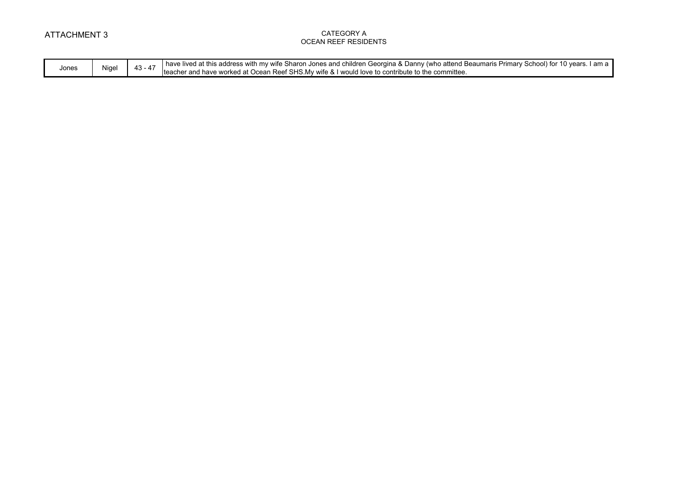|       | Nigel | . .<br>"<br>43<br>л. | have<br>Primary .<br>. addreec<br>Georgina & Danny<br>Sharon<br>children<br>∵(whc<br>lived<br>seaumaris<br>` with .<br>this.<br>mv<br>∶and<br>וחחח<br>vea<br>wile |
|-------|-------|----------------------|-------------------------------------------------------------------------------------------------------------------------------------------------------------------|
| Jones |       |                      | $\sim$<br>ำ^mmittee.<br>I would love to contric<br>r and have worked at (<br>Ocean<br><b>SHS</b><br>Iteacr<br>wite &<br><sup>س</sup> ™ ™ ا∪.<br>. Ref             |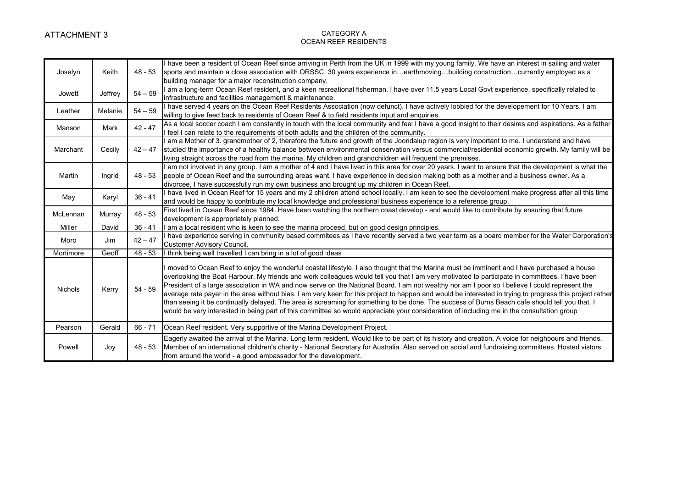| Joselyn        | Keith   | $48 - 53$ | I have been a resident of Ocean Reef since arriving in Perth from the UK in 1999 with my young family. We have an interest in sailing and water<br>sports and maintain a close association with ORSSC. 30 years experience inearthmovingbuilding constructioncurrently employed as a<br>building manager for a major reconstruction company.                                                                                                                                                                                                                                                                                                                                                                                                                                                                                                                                                               |
|----------------|---------|-----------|------------------------------------------------------------------------------------------------------------------------------------------------------------------------------------------------------------------------------------------------------------------------------------------------------------------------------------------------------------------------------------------------------------------------------------------------------------------------------------------------------------------------------------------------------------------------------------------------------------------------------------------------------------------------------------------------------------------------------------------------------------------------------------------------------------------------------------------------------------------------------------------------------------|
| Jowett         | Jeffrey | $54 - 59$ | I am a long-term Ocean Reef resident, and a keen recreational fisherman. I have over 11.5 years Local Govt experience, specifically related to<br>infrastructure and facilities management & maintenance.                                                                                                                                                                                                                                                                                                                                                                                                                                                                                                                                                                                                                                                                                                  |
| Leather        | Melanie | $54 - 59$ | I have served 4 years on the Ocean Reef Residents Association (now defunct). I have actively lobbied for the developement for 10 Years. I am<br>willing to give feed back to residents of Ocean Reef & to field residents input and enquiries.                                                                                                                                                                                                                                                                                                                                                                                                                                                                                                                                                                                                                                                             |
| Manson         | Mark    | $42 - 47$ | As a local soccer coach I am constantly in touch with the local community and feel I have a good insight to their desires and aspirations. As a father<br>I feel I can relate to the requirements of both adults and the children of the community.                                                                                                                                                                                                                                                                                                                                                                                                                                                                                                                                                                                                                                                        |
| Marchant       | Cecily  | $42 - 47$ | I am a Mother of 3. grandmother of 2, therefore the future and growth of the Joondalup region is very important to me. I understand and have<br>studied the importance of a healthy balance between environmental conservation versus commercial/residential economic growth. My family will be<br>living straight across the road from the marina. My children and grandchildren will frequent the premises.                                                                                                                                                                                                                                                                                                                                                                                                                                                                                              |
| Martin         | Ingrid  | $48 - 53$ | I am not involved in any group. I am a mother of 4 and I have lived in this area for over 20 years. I want to ensure that the development is what the<br>people of Ocean Reef and the surrounding areas want. I have experience in decision making both as a mother and a business owner. As a<br>divorcee, I have successfully run my own business and brought up my children in Ocean Reef.                                                                                                                                                                                                                                                                                                                                                                                                                                                                                                              |
| May            | Karyl   | $36 - 41$ | I have lived in Ocean Reef for 15 years and my 2 children attend school locally. I am keen to see the development make progress after all this time<br>and would be happy to contribute my local knowledge and professional business experience to a reference group.                                                                                                                                                                                                                                                                                                                                                                                                                                                                                                                                                                                                                                      |
| McLennan       | Murray  | $48 - 53$ | First lived in Ocean Reef since 1984. Have been watching the northern coast develop - and would like to contribute by ensuring that future<br>development is appropriately planned.                                                                                                                                                                                                                                                                                                                                                                                                                                                                                                                                                                                                                                                                                                                        |
| Miller         | David   | $36 - 41$ | I am a local resident who is keen to see the marina proceed, but on good design principles.                                                                                                                                                                                                                                                                                                                                                                                                                                                                                                                                                                                                                                                                                                                                                                                                                |
| Moro           | Jim     | $42 - 47$ | I have experience serving in community based commitees as I have recently served a two year term as a board member for the Water Corporation's<br>Customer Advisory Council.                                                                                                                                                                                                                                                                                                                                                                                                                                                                                                                                                                                                                                                                                                                               |
| Mortimore      | Geoff   | $48 - 53$ | I think being well travelled I can bring in a lot of good ideas                                                                                                                                                                                                                                                                                                                                                                                                                                                                                                                                                                                                                                                                                                                                                                                                                                            |
| <b>Nichols</b> | Kerry   | $54 - 59$ | I moved to Ocean Reef to enjoy the wonderful coastal lifestyle. I also thought that the Marina must be imminent and I have purchased a house<br>overlooking the Boat Harbour. My friends and work colleagues would tell you that I am very motivated to participate in committees. I have been<br>President of a large association in WA and now serve on the National Board. I am not wealthy nor am I poor so I believe I could represent the<br>average rate payer in the area without bias. I am very keen for this project to happen and would be interested in trying to progress this project rather<br>than seeing it be continually delayed. The area is screaming for something to be done. The success of Burns Beach cafe should tell you that. I<br>would be very interested in being part of this committee so would appreciate your consideration of including me in the consultation group |
| Pearson        | Gerald  | $66 - 71$ | Ocean Reef resident. Very supportive of the Marina Development Project.                                                                                                                                                                                                                                                                                                                                                                                                                                                                                                                                                                                                                                                                                                                                                                                                                                    |
| Powell         | Joy     | $48 - 53$ | Eagerly awaited the arrival of the Marina. Long term resident. Would like to be part of its history and creation. A voice for neighbours and friends.<br>Member of an international children's charity - National Secretary for Australia. Also served on social and fundraising committees. Hosted vistors<br>from around the world - a good ambassador for the development.                                                                                                                                                                                                                                                                                                                                                                                                                                                                                                                              |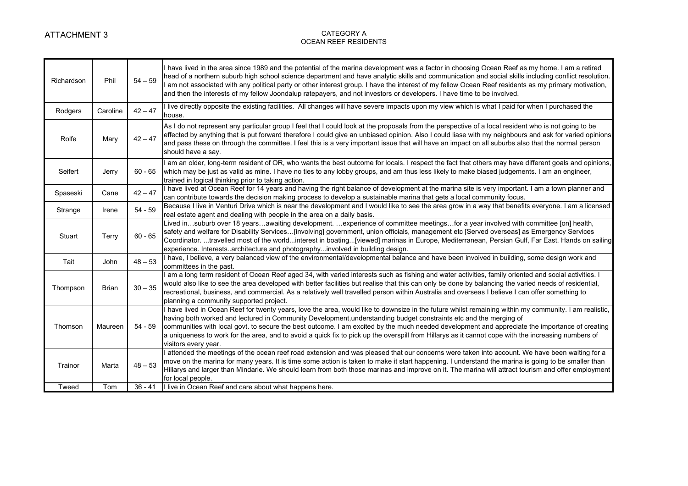| Richardson | Phil         | $54 - 59$ | I have lived in the area since 1989 and the potential of the marina development was a factor in choosing Ocean Reef as my home. I am a retired<br>head of a northern suburb high school science department and have analytic skills and communication and social skills including conflict resolution.<br>am not associated with any political party or other interest group. I have the interest of my fellow Ocean Reef residents as my primary motivation,<br>and then the interests of my fellow Joondalup ratepayers, and not investors or developers. I have time to be involved.                      |
|------------|--------------|-----------|--------------------------------------------------------------------------------------------------------------------------------------------------------------------------------------------------------------------------------------------------------------------------------------------------------------------------------------------------------------------------------------------------------------------------------------------------------------------------------------------------------------------------------------------------------------------------------------------------------------|
| Rodgers    | Caroline     | $42 - 47$ | I live directly opposite the existing facilities. All changes will have severe impacts upon my view which is what I paid for when I purchased the<br>house.                                                                                                                                                                                                                                                                                                                                                                                                                                                  |
| Rolfe      | Mary         | $42 - 47$ | As I do not represent any particular group I feel that I could look at the proposals from the perspective of a local resident who is not going to be<br>effected by anything that is put forward therefore I could give an unbiased opinion. Also I could liase with my neighbours and ask for varied opinions<br>and pass these on through the committee. I feel this is a very important issue that will have an impact on all suburbs also that the normal person<br>should have a say.                                                                                                                   |
| Seifert    | Jerry        | $60 - 65$ | am an older, long-term resident of OR, who wants the best outcome for locals. I respect the fact that others may have different goals and opinions,<br>which may be just as valid as mine. I have no ties to any lobby groups, and am thus less likely to make biased judgements. I am an engineer,<br>trained in logical thinking prior to taking action.                                                                                                                                                                                                                                                   |
| Spaseski   | Cane         | $42 - 47$ | I have lived at Ocean Reef for 14 years and having the right balance of development at the marina site is very important. I am a town planner and<br>can contribute towards the decision making process to develop a sustainable marina that gets a local community focus.                                                                                                                                                                                                                                                                                                                                   |
| Strange    | Irene        | $54 - 59$ | Because I live in Venturi Drive which is near the development and I would like to see the area grow in a way that benefits everyone. I am a licensed<br>real estate agent and dealing with people in the area on a daily basis.                                                                                                                                                                                                                                                                                                                                                                              |
| Stuart     | Terry        | $60 - 65$ | Lived insuburb over 18 yearsawaiting development. experience of committee meetingsfor a year involved with committee [on] health,<br>safety and welfare for Disability Services[involving] government, union officials, management etc [Served overseas] as Emergency Services<br>Coordinator. travelled most of the worldinterest in boating[viewed] marinas in Europe, Mediterranean, Persian Gulf, Far East. Hands on sailing<br>experience. Interestsarchitecture and photographyinvolved in building design.                                                                                            |
| Tait       | John         | $48 - 53$ | I have, I believe, a very balanced view of the environmental/developmental balance and have been involved in building, some design work and<br>committees in the past.                                                                                                                                                                                                                                                                                                                                                                                                                                       |
| Thompson   | <b>Brian</b> | $30 - 35$ | am a long term resident of Ocean Reef aged 34, with varied interests such as fishing and water activities, family oriented and social activities. I<br>would also like to see the area developed with better facilities but realise that this can only be done by balancing the varied needs of residential,<br>recreational, business, and commercial. As a relatively well travelled person within Australia and overseas I believe I can offer something to<br>planning a community supported project.                                                                                                    |
| Thomson    | Maureen      | $54 - 59$ | I have lived in Ocean Reef for twenty years, love the area, would like to downsize in the future whilst remaining within my community. I am realistic,<br>having both worked and lectured in Community Development, understanding budget constraints etc and the merging of<br>communities with local govt. to secure the best outcome. I am excited by the much needed development and appreciate the importance of creating<br>a uniqueness to work for the area, and to avoid a quick fix to pick up the overspill from Hillarys as it cannot cope with the increasing numbers of<br>visitors every year. |
| Trainor    | Marta        | $48 - 53$ | attended the meetings of the ocean reef road extension and was pleased that our concerns were taken into account. We have been waiting for a<br>move on the marina for many years. It is time some action is taken to make it start happening. I understand the marina is going to be smaller than<br>Hillarys and larger than Mindarie. We should learn from both those marinas and improve on it. The marina will attract tourism and offer employment<br>for local people.                                                                                                                                |
| Tweed      | Tom          | $36 - 41$ | I live in Ocean Reef and care about what happens here.                                                                                                                                                                                                                                                                                                                                                                                                                                                                                                                                                       |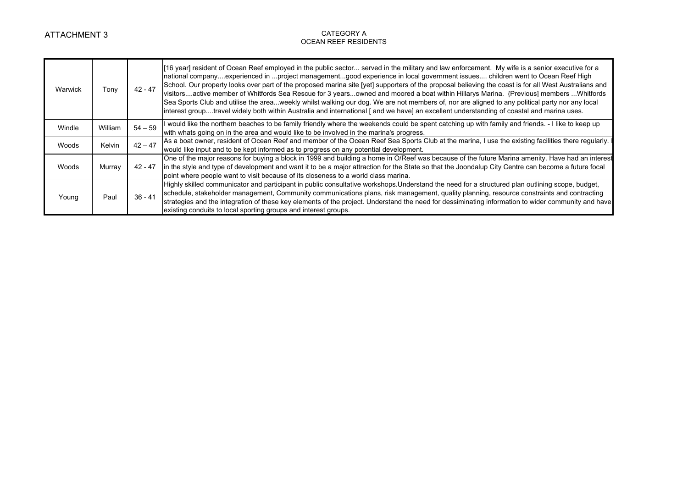| Warwick | Tonv    | $42 - 47$ | [16 year] resident of Ocean Reef employed in the public sector served in the military and law enforcement. My wife is a senior executive for a<br>national companyexperienced in project managementgood experience in local government issues children went to Ocean Reef High<br>School. Our property looks over part of the proposed marina site [yet] supporters of the proposal believing the coast is for all West Australians and<br>visitorsactive member of Whitfords Sea Rescue for 3 yearsowned and moored a boat within Hillarys Marina. {Previous] members Whitfords<br>Sea Sports Club and utilise the areaweekly whilst walking our dog. We are not members of, nor are aligned to any political party nor any local<br>interest grouptravel widely both within Australia and international [and we have] an excellent understanding of coastal and marina uses. |
|---------|---------|-----------|--------------------------------------------------------------------------------------------------------------------------------------------------------------------------------------------------------------------------------------------------------------------------------------------------------------------------------------------------------------------------------------------------------------------------------------------------------------------------------------------------------------------------------------------------------------------------------------------------------------------------------------------------------------------------------------------------------------------------------------------------------------------------------------------------------------------------------------------------------------------------------|
| Windle  | William | $54 - 59$ | I would like the northern beaches to be family friendly where the weekends could be spent catching up with family and friends. - I like to keep up<br>with whats going on in the area and would like to be involved in the marina's progress.                                                                                                                                                                                                                                                                                                                                                                                                                                                                                                                                                                                                                                  |
| Woods   | Kelvin  | $42 - 47$ | As a boat owner, resident of Ocean Reef and member of the Ocean Reef Sea Sports Club at the marina, I use the existing facilities there regularly. I<br>would like input and to be kept informed as to progress on any potential development.                                                                                                                                                                                                                                                                                                                                                                                                                                                                                                                                                                                                                                  |
| Woods   | Murray  | 42 - 47   | One of the major reasons for buying a block in 1999 and building a home in O/Reef was because of the future Marina amenity. Have had an interest<br>in the style and type of development and want it to be a major attraction for the State so that the Joondalup City Centre can become a future focal<br>point where people want to visit because of its closeness to a world class marina.                                                                                                                                                                                                                                                                                                                                                                                                                                                                                  |
| Young   | Paul    | $36 - 41$ | Highly skilled communicator and participant in public consultative workshops. Understand the need for a structured plan outlining scope, budget,<br>schedule, stakeholder management, Community communications plans, risk management, quality planning, resource constraints and contracting<br>strategies and the integration of these key elements of the project. Understand the need for dessiminating information to wider community and have<br>existing conduits to local sporting groups and interest groups.                                                                                                                                                                                                                                                                                                                                                         |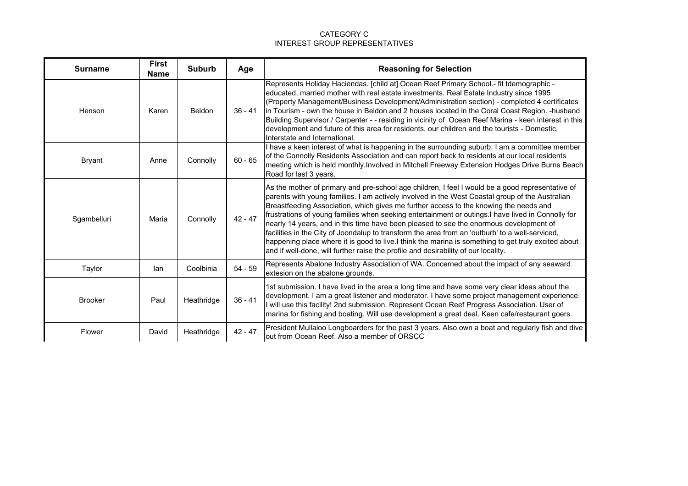| <b>Surname</b> | <b>First</b><br><b>Name</b> | <b>Suburb</b> | Age       | <b>Reasoning for Selection</b>                                                                                                                                                                                                                                                                                                                                                                                                                                                                                                                                                                                                                                                                                                                                                                |
|----------------|-----------------------------|---------------|-----------|-----------------------------------------------------------------------------------------------------------------------------------------------------------------------------------------------------------------------------------------------------------------------------------------------------------------------------------------------------------------------------------------------------------------------------------------------------------------------------------------------------------------------------------------------------------------------------------------------------------------------------------------------------------------------------------------------------------------------------------------------------------------------------------------------|
| Henson         | Karen                       | Beldon        | $36 - 41$ | Represents Holiday Haciendas. [child at] Ocean Reef Primary School.- fit tdemographic -<br>educated, married mother with real estate investments. Real Estate Industry since 1995<br>(Property Management/Business Development/Administration section) - completed 4 certificates<br>in Tourism - own the house in Beldon and 2 houses located in the Coral Coast Region. - husband<br>Building Supervisor / Carpenter - - residing in vicinity of Ocean Reef Marina - keen interest in this<br>development and future of this area for residents, our children and the tourists - Domestic,<br>Interstate and International.                                                                                                                                                                 |
| <b>Bryant</b>  | Anne                        | Connolly      | $60 - 65$ | I have a keen interest of what is happening in the surrounding suburb. I am a committee member<br>of the Connolly Residents Association and can report back to residents at our local residents<br>meeting which is held monthly. Involved in Mitchell Freeway Extension Hodges Drive Burns Beach<br>Road for last 3 years.                                                                                                                                                                                                                                                                                                                                                                                                                                                                   |
| Sgambelluri    | Maria                       | Connolly      | $42 - 47$ | As the mother of primary and pre-school age children, I feel I would be a good representative of<br>parents with young families. I am actively involved in the West Coastal group of the Australian<br>Breastfeeding Association, which gives me further access to the knowing the needs and<br>frustrations of young families when seeking entertainment or outings. I have lived in Connolly for<br>nearly 14 years, and in this time have been pleased to see the enormous development of<br>facilities in the City of Joondalup to transform the area from an 'outburb' to a well-serviced,<br>happening place where it is good to live. I think the marina is something to get truly excited about<br>and if well-done, will further raise the profile and desirability of our locality. |
| Taylor         | lan                         | Coolbinia     | $54 - 59$ | Represents Abalone Industry Association of WA. Concerned about the impact of any seaward<br>extesion on the abalone grounds.                                                                                                                                                                                                                                                                                                                                                                                                                                                                                                                                                                                                                                                                  |
| <b>Brooker</b> | Paul                        | Heathridge    | $36 - 41$ | 1st submission. I have lived in the area a long time and have some very clear ideas about the<br>development. I am a great listener and moderator. I have some project management experience.<br>will use this facility! 2nd submission. Represent Ocean Reef Progress Association. User of<br>marina for fishing and boating. Will use development a great deal. Keen cafe/restaurant goers.                                                                                                                                                                                                                                                                                                                                                                                                 |
| Flower         | David                       | Heathridge    | $42 - 47$ | President Mullaloo Longboarders for the past 3 years. Also own a boat and regularly fish and dive<br>out from Ocean Reef. Also a member of ORSCC                                                                                                                                                                                                                                                                                                                                                                                                                                                                                                                                                                                                                                              |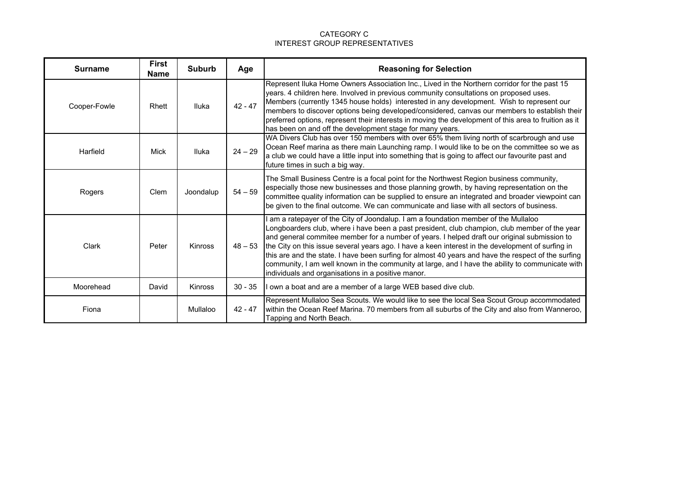| <b>Surname</b> | <b>First</b><br><b>Name</b> | <b>Suburb</b> | Age       | <b>Reasoning for Selection</b>                                                                                                                                                                                                                                                                                                                                                                                                                                                                                                                                                                                                                           |
|----------------|-----------------------------|---------------|-----------|----------------------------------------------------------------------------------------------------------------------------------------------------------------------------------------------------------------------------------------------------------------------------------------------------------------------------------------------------------------------------------------------------------------------------------------------------------------------------------------------------------------------------------------------------------------------------------------------------------------------------------------------------------|
| Cooper-Fowle   | Rhett                       | Iluka         | $42 - 47$ | Represent Iluka Home Owners Association Inc., Lived in the Northern corridor for the past 15<br>years. 4 children here. Involved in previous community consultations on proposed uses.<br>Members (currently 1345 house holds) interested in any development. Wish to represent our<br>members to discover options being developed/considered, canvas our members to establish their<br>preferred options, represent their interests in moving the development of this area to fruition as it<br>has been on and off the development stage for many years.                                                                                               |
| Harfield       | Mick                        | <b>Iluka</b>  | $24 - 29$ | WA Divers Club has over 150 members with over 65% them living north of scarbrough and use<br>Ocean Reef marina as there main Launching ramp. I would like to be on the committee so we as<br>a club we could have a little input into something that is going to affect our favourite past and<br>future times in such a big way.                                                                                                                                                                                                                                                                                                                        |
| Rogers         | Clem                        | Joondalup     | $54 - 59$ | The Small Business Centre is a focal point for the Northwest Region business community,<br>especially those new businesses and those planning growth, by having representation on the<br>committee quality information can be supplied to ensure an integrated and broader viewpoint can<br>be given to the final outcome. We can communicate and liase with all sectors of business.                                                                                                                                                                                                                                                                    |
| Clark          | Peter                       | Kinross       | $48 - 53$ | am a ratepayer of the City of Joondalup. I am a foundation member of the Mullaloo<br>Longboarders club, where i have been a past president, club champion, club member of the year<br>and general commitee member for a number of years. I helped draft our original submission to<br>the City on this issue several years ago. I have a keen interest in the development of surfing in<br>this are and the state. I have been surfing for almost 40 years and have the respect of the surfing<br>community, I am well known in the community at large, and I have the ability to communicate with<br>individuals and organisations in a positive manor. |
| Moorehead      | David                       | Kinross       | $30 - 35$ | I own a boat and are a member of a large WEB based dive club.                                                                                                                                                                                                                                                                                                                                                                                                                                                                                                                                                                                            |
| Fiona          |                             | Mullaloo      | $42 - 47$ | Represent Mullaloo Sea Scouts. We would like to see the local Sea Scout Group accommodated<br>within the Ocean Reef Marina. 70 members from all suburbs of the City and also from Wanneroo,<br>Tapping and North Beach.                                                                                                                                                                                                                                                                                                                                                                                                                                  |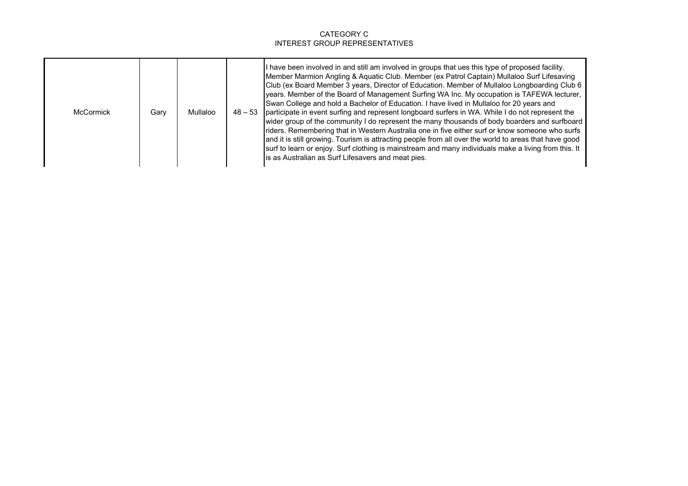| <b>McCormick</b> | Gary | Mullaloo |  | If have been involved in and still am involved in groups that ues this type of proposed facility.<br>Member Marmion Angling & Aquatic Club. Member (ex Patrol Captain) Mullaloo Surf Lifesaving<br>Club (ex Board Member 3 years, Director of Education. Member of Mullaloo Longboarding Club 6<br>years. Member of the Board of Management Surfing WA Inc. My occupation is TAFEWA lecturer,<br>Swan College and hold a Bachelor of Education. I have lived in Mullaloo for 20 years and<br>48 – 53 participate in event surfing and represent longboard surfers in WA. While I do not represent the<br>wider group of the community I do represent the many thousands of body boarders and surfboard<br>riders. Remembering that in Western Australia one in five either surf or know someone who surfs<br>and it is still growing. Tourism is attracting people from all over the world to areas that have good<br>surf to learn or enjoy. Surf clothing is mainstream and many individuals make a living from this. It<br>is as Australian as Surf Lifesavers and meat pies. |
|------------------|------|----------|--|----------------------------------------------------------------------------------------------------------------------------------------------------------------------------------------------------------------------------------------------------------------------------------------------------------------------------------------------------------------------------------------------------------------------------------------------------------------------------------------------------------------------------------------------------------------------------------------------------------------------------------------------------------------------------------------------------------------------------------------------------------------------------------------------------------------------------------------------------------------------------------------------------------------------------------------------------------------------------------------------------------------------------------------------------------------------------------|
|------------------|------|----------|--|----------------------------------------------------------------------------------------------------------------------------------------------------------------------------------------------------------------------------------------------------------------------------------------------------------------------------------------------------------------------------------------------------------------------------------------------------------------------------------------------------------------------------------------------------------------------------------------------------------------------------------------------------------------------------------------------------------------------------------------------------------------------------------------------------------------------------------------------------------------------------------------------------------------------------------------------------------------------------------------------------------------------------------------------------------------------------------|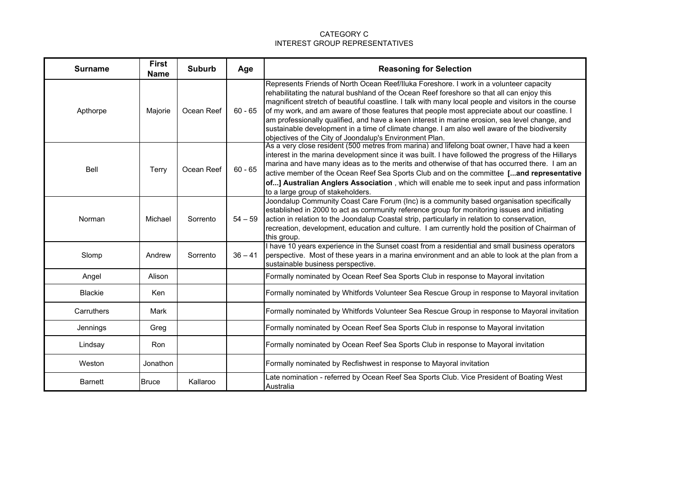| <b>Surname</b> | <b>First</b><br><b>Name</b> | <b>Suburb</b> | Age       | <b>Reasoning for Selection</b>                                                                                                                                                                                                                                                                                                                                                                                                                                                                                                                                                                                                                              |
|----------------|-----------------------------|---------------|-----------|-------------------------------------------------------------------------------------------------------------------------------------------------------------------------------------------------------------------------------------------------------------------------------------------------------------------------------------------------------------------------------------------------------------------------------------------------------------------------------------------------------------------------------------------------------------------------------------------------------------------------------------------------------------|
| Apthorpe       | Majorie                     | Ocean Reef    | $60 - 65$ | Represents Friends of North Ocean Reef/Iluka Foreshore. I work in a volunteer capacity<br>rehabilitating the natural bushland of the Ocean Reef foreshore so that all can enjoy this<br>magnificent stretch of beautiful coastline. I talk with many local people and visitors in the course<br>of my work, and am aware of those features that people most appreciate about our coastline. I<br>am professionally qualified, and have a keen interest in marine erosion, sea level change, and<br>sustainable development in a time of climate change. I am also well aware of the biodiversity<br>objectives of the City of Joondalup's Environment Plan. |
| Bell           | Terry                       | Ocean Reef    | $60 - 65$ | As a very close resident (500 metres from marina) and lifelong boat owner, I have had a keen<br>interest in the marina development since it was built. I have followed the progress of the Hillarys<br>marina and have many ideas as to the merits and otherwise of that has occurred there. I am an<br>active member of the Ocean Reef Sea Sports Club and on the committee [and representative<br>of] Australian Anglers Association, which will enable me to seek input and pass information<br>to a large group of stakeholders.                                                                                                                        |
| Norman         | Michael                     | Sorrento      | $54 - 59$ | Joondalup Community Coast Care Forum (Inc) is a community based organisation specifically<br>established in 2000 to act as community reference group for monitoring issues and initiating<br>action in relation to the Joondalup Coastal strip, particularly in relation to conservation,<br>recreation, development, education and culture. I am currently hold the position of Chairman of<br>this group.                                                                                                                                                                                                                                                 |
| Slomp          | Andrew                      | Sorrento      | $36 - 41$ | I have 10 years experience in the Sunset coast from a residential and small business operators<br>perspective. Most of these years in a marina environment and an able to look at the plan from a<br>sustainable business perspective.                                                                                                                                                                                                                                                                                                                                                                                                                      |
| Angel          | Alison                      |               |           | Formally nominated by Ocean Reef Sea Sports Club in response to Mayoral invitation                                                                                                                                                                                                                                                                                                                                                                                                                                                                                                                                                                          |
| <b>Blackie</b> | <b>Ken</b>                  |               |           | Formally nominated by Whitfords Volunteer Sea Rescue Group in response to Mayoral invitation                                                                                                                                                                                                                                                                                                                                                                                                                                                                                                                                                                |
| Carruthers     | Mark                        |               |           | Formally nominated by Whitfords Volunteer Sea Rescue Group in response to Mayoral invitation                                                                                                                                                                                                                                                                                                                                                                                                                                                                                                                                                                |
| Jennings       | Greg                        |               |           | Formally nominated by Ocean Reef Sea Sports Club in response to Mayoral invitation                                                                                                                                                                                                                                                                                                                                                                                                                                                                                                                                                                          |
| Lindsay        | <b>Ron</b>                  |               |           | Formally nominated by Ocean Reef Sea Sports Club in response to Mayoral invitation                                                                                                                                                                                                                                                                                                                                                                                                                                                                                                                                                                          |
| Weston         | Jonathon                    |               |           | Formally nominated by Recfishwest in response to Mayoral invitation                                                                                                                                                                                                                                                                                                                                                                                                                                                                                                                                                                                         |
| <b>Barnett</b> | <b>Bruce</b>                | Kallaroo      |           | Late nomination - referred by Ocean Reef Sea Sports Club. Vice President of Boating West<br>Australia                                                                                                                                                                                                                                                                                                                                                                                                                                                                                                                                                       |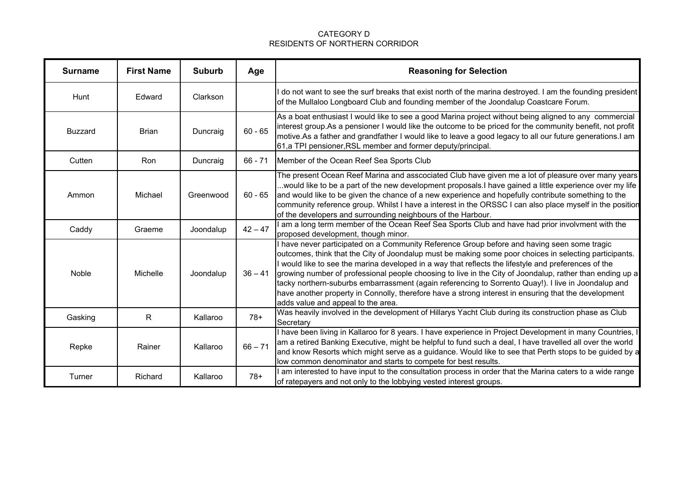### CATEGORY D RESIDENTS OF NORTHERN CORRIDOR

| <b>Surname</b> | <b>First Name</b> | <b>Suburb</b> | Age       | <b>Reasoning for Selection</b>                                                                                                                                                                                                                                                                                                                                                                                                                                                                                                                                                                                                                                                 |
|----------------|-------------------|---------------|-----------|--------------------------------------------------------------------------------------------------------------------------------------------------------------------------------------------------------------------------------------------------------------------------------------------------------------------------------------------------------------------------------------------------------------------------------------------------------------------------------------------------------------------------------------------------------------------------------------------------------------------------------------------------------------------------------|
| Hunt           | Edward            | Clarkson      |           | do not want to see the surf breaks that exist north of the marina destroyed. I am the founding president<br>of the Mullaloo Longboard Club and founding member of the Joondalup Coastcare Forum.                                                                                                                                                                                                                                                                                                                                                                                                                                                                               |
| <b>Buzzard</b> | <b>Brian</b>      | Duncraig      | $60 - 65$ | As a boat enthusiast I would like to see a good Marina project without being aligned to any commercial<br>interest group. As a pensioner I would like the outcome to be priced for the community benefit, not profit<br>motive.As a father and grandfather I would like to leave a good legacy to all our future generations.I am<br>61,a TPI pensioner, RSL member and former deputy/principal.                                                                                                                                                                                                                                                                               |
| Cutten         | Ron               | Duncraig      | $66 - 71$ | Member of the Ocean Reef Sea Sports Club                                                                                                                                                                                                                                                                                                                                                                                                                                                                                                                                                                                                                                       |
| Ammon          | Michael           | Greenwood     | $60 - 65$ | The present Ocean Reef Marina and asscociated Club have given me a lot of pleasure over many years<br>would like to be a part of the new development proposals.I have gained a little experience over my life<br>and would like to be given the chance of a new experience and hopefully contribute something to the<br>community reference group. Whilst I have a interest in the ORSSC I can also place myself in the position<br>of the developers and surrounding neighbours of the Harbour.                                                                                                                                                                               |
| Caddy          | Graeme            | Joondalup     | $42 - 47$ | am a long term member of the Ocean Reef Sea Sports Club and have had prior involvment with the<br>proposed development, though minor.                                                                                                                                                                                                                                                                                                                                                                                                                                                                                                                                          |
| Noble          | Michelle          | Joondalup     | $36 - 41$ | I have never participated on a Community Reference Group before and having seen some tragic<br>outcomes, think that the City of Joondalup must be making some poor choices in selecting participants.<br>I would like to see the marina developed in a way that reflects the lifestyle and preferences of the<br>growing number of professional people choosing to live in the City of Joondalup, rather than ending up a<br>tacky northern-suburbs embarrassment (again referencing to Sorrento Quay!). I live in Joondalup and<br>have another property in Connolly, therefore have a strong interest in ensuring that the development<br>adds value and appeal to the area. |
| Gasking        | $\mathsf{R}$      | Kallaroo      | $78+$     | Was heavily involved in the development of Hillarys Yacht Club during its construction phase as Club<br>Secretary                                                                                                                                                                                                                                                                                                                                                                                                                                                                                                                                                              |
| Repke          | Rainer            | Kallaroo      | $66 - 71$ | I have been living in Kallaroo for 8 years. I have experience in Project Development in many Countries, I<br>am a retired Banking Executive, might be helpful to fund such a deal, I have travelled all over the world<br>and know Resorts which might serve as a guidance. Would like to see that Perth stops to be guided by a<br>low common denominator and starts to compete for best results.                                                                                                                                                                                                                                                                             |
| Turner         | Richard           | Kallaroo      | $78+$     | am interested to have input to the consultation process in order that the Marina caters to a wide range<br>of ratepayers and not only to the lobbying vested interest groups.                                                                                                                                                                                                                                                                                                                                                                                                                                                                                                  |